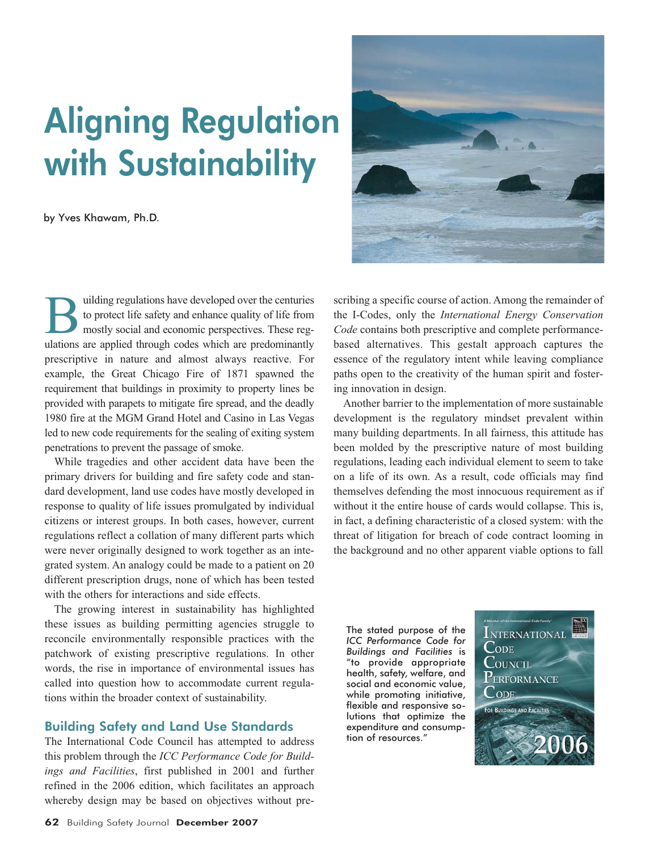# Aligning Regulation with Sustainability

by Yves Khawam, Ph.D.

uilding regulations have developed over the centuries to protect life safety and enhance quality of life from mostly social and economic perspectives. These regulations are applied through codes which are predominantly prescriptive in nature and almost always reactive. For example, the Great Chicago Fire of 1871 spawned the requirement that buildings in proximity to property lines be provided with parapets to mitigate fire spread, and the deadly 1980 fire at the MGM Grand Hotel and Casino in Las Vegas led to new code requirements for the sealing of exiting system penetrations to prevent the passage of smoke.

While tragedies and other accident data have been the primary drivers for building and fire safety code and standard development, land use codes have mostly developed in response to quality of life issues promulgated by individual citizens or interest groups. In both cases, however, current regulations reflect a collation of many different parts which were never originally designed to work together as an integrated system. An analogy could be made to a patient on 20 different prescription drugs, none of which has been tested with the others for interactions and side effects.

The growing interest in sustainability has highlighted these issues as building permitting agencies struggle to reconcile environmentally responsible practices with the patchwork of existing prescriptive regulations. In other words, the rise in importance of environmental issues has called into question how to accommodate current regulations within the broader context of sustainability.

## Building Safety and Land Use Standards

The International Code Council has attempted to address this problem through the *ICC Performance Code for Buildings and Facilities*, first published in 2001 and further refined in the 2006 edition, which facilitates an approach whereby design may be based on objectives without pre-



scribing a specific course of action. Among the remainder of the I-Codes, only the *International Energy Conservation Code* contains both prescriptive and complete performancebased alternatives. This gestalt approach captures the essence of the regulatory intent while leaving compliance paths open to the creativity of the human spirit and fostering innovation in design.

Another barrier to the implementation of more sustainable development is the regulatory mindset prevalent within many building departments. In all fairness, this attitude has been molded by the prescriptive nature of most building regulations, leading each individual element to seem to take on a life of its own. As a result, code officials may find themselves defending the most innocuous requirement as if without it the entire house of cards would collapse. This is, in fact, a defining characteristic of a closed system: with the threat of litigation for breach of code contract looming in the background and no other apparent viable options to fall

The stated purpose of the *ICC Performance Code for Buildings and Facilities* is "to provide appropriate health, safety, welfare, and social and economic value, while promoting initiative, flexible and responsive solutions that optimize the expenditure and consumption of resources."

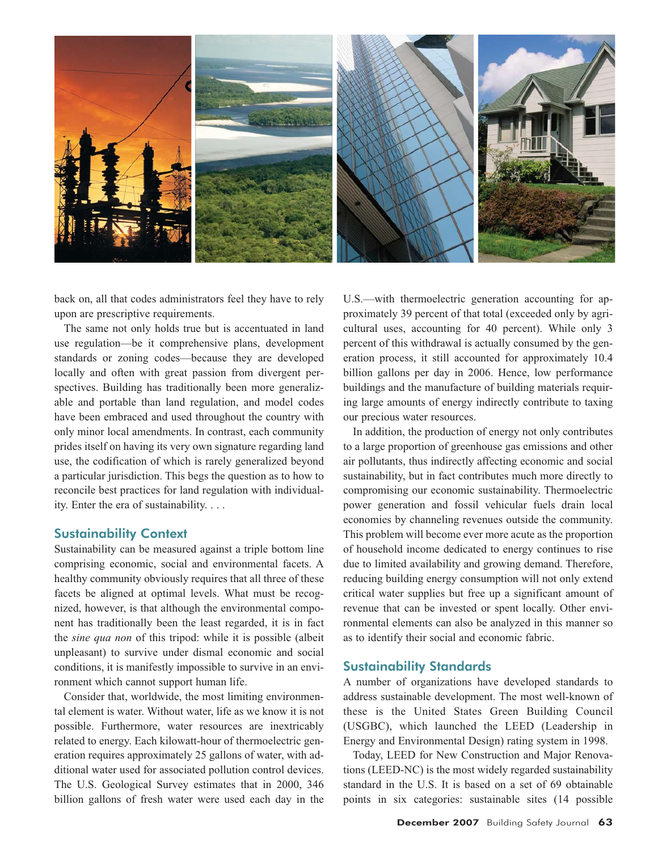

back on, all that codes administrators feel they have to rely upon are prescriptive requirements.

The same not only holds true but is accentuated in land use regulation—be it comprehensive plans, development standards or zoning codes—because they are developed locally and often with great passion from divergent perspectives. Building has traditionally been more generalizable and portable than land regulation, and model codes have been embraced and used throughout the country with only minor local amendments. In contrast, each community prides itself on having its very own signature regarding land use, the codification of which is rarely generalized beyond a particular jurisdiction. This begs the question as to how to reconcile best practices for land regulation with individuality. Enter the era of sustainability. . . .

## Sustainability Context

Sustainability can be measured against a triple bottom line comprising economic, social and environmental facets. A healthy community obviously requires that all three of these facets be aligned at optimal levels. What must be recognized, however, is that although the environmental component has traditionally been the least regarded, it is in fact the *sine qua non* of this tripod: while it is possible (albeit unpleasant) to survive under dismal economic and social conditions, it is manifestly impossible to survive in an environment which cannot support human life.

Consider that, worldwide, the most limiting environmental element is water. Without water, life as we know it is not possible. Furthermore, water resources are inextricably related to energy. Each kilowatt-hour of thermoelectric generation requires approximately 25 gallons of water, with additional water used for associated pollution control devices. The U.S. Geological Survey estimates that in 2000, 346 billion gallons of fresh water were used each day in the

U.S.—with thermoelectric generation accounting for approximately 39 percent of that total (exceeded only by agricultural uses, accounting for 40 percent). While only 3 percent of this withdrawal is actually consumed by the generation process, it still accounted for approximately 10.4 billion gallons per day in 2006. Hence, low performance buildings and the manufacture of building materials requiring large amounts of energy indirectly contribute to taxing our precious water resources.

In addition, the production of energy not only contributes to a large proportion of greenhouse gas emissions and other air pollutants, thus indirectly affecting economic and social sustainability, but in fact contributes much more directly to compromising our economic sustainability. Thermoelectric power generation and fossil vehicular fuels drain local economies by channeling revenues outside the community. This problem will become ever more acute as the proportion of household income dedicated to energy continues to rise due to limited availability and growing demand. Therefore, reducing building energy consumption will not only extend critical water supplies but free up a significant amount of revenue that can be invested or spent locally. Other environmental elements can also be analyzed in this manner so as to identify their social and economic fabric.

## Sustainability Standards

A number of organizations have developed standards to address sustainable development. The most well-known of these is the United States Green Building Council (USGBC), which launched the LEED (Leadership in Energy and Environmental Design) rating system in 1998.

Today, LEED for New Construction and Major Renovations (LEED-NC) is the most widely regarded sustainability standard in the U.S. It is based on a set of 69 obtainable points in six categories: sustainable sites (14 possible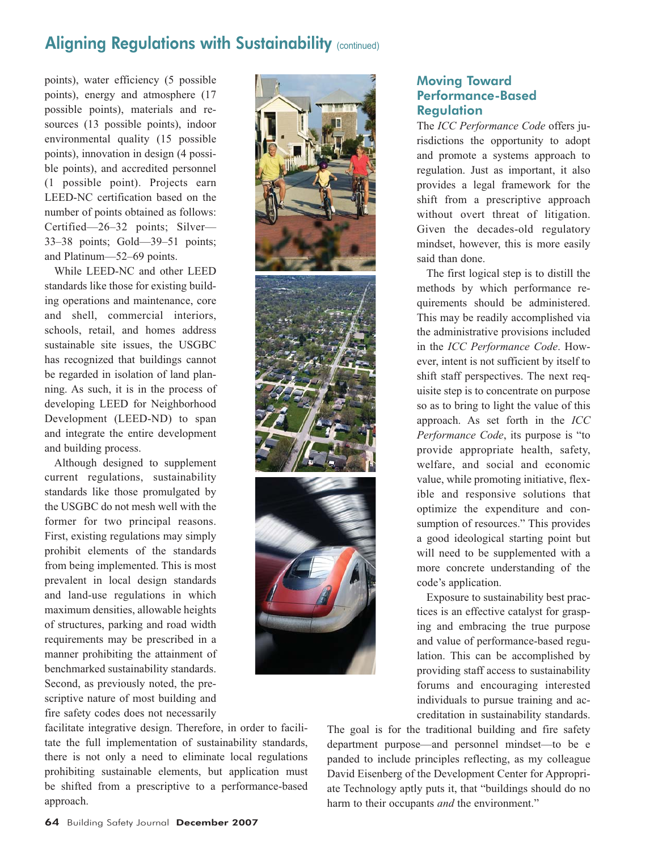# Aligning Regulations with Sustainability (continued)

points), water efficiency (5 possible points), energy and atmosphere (17 possible points), materials and resources (13 possible points), indoor environmental quality (15 possible points), innovation in design (4 possible points), and accredited personnel (1 possible point). Projects earn LEED-NC certification based on the number of points obtained as follows: Certified—26–32 points; Silver— 33–38 points; Gold—39–51 points; and Platinum—52–69 points.

While LEED-NC and other LEED standards like those for existing building operations and maintenance, core and shell, commercial interiors, schools, retail, and homes address sustainable site issues, the USGBC has recognized that buildings cannot be regarded in isolation of land planning. As such, it is in the process of developing LEED for Neighborhood Development (LEED-ND) to span and integrate the entire development and building process.

Although designed to supplement current regulations, sustainability standards like those promulgated by the USGBC do not mesh well with the former for two principal reasons. First, existing regulations may simply prohibit elements of the standards from being implemented. This is most prevalent in local design standards and land-use regulations in which maximum densities, allowable heights of structures, parking and road width requirements may be prescribed in a manner prohibiting the attainment of benchmarked sustainability standards. Second, as previously noted, the prescriptive nature of most building and fire safety codes does not necessarily



## Moving Toward Performance-Based **Regulation**

The *ICC Performance Code* offers jurisdictions the opportunity to adopt and promote a systems approach to regulation. Just as important, it also provides a legal framework for the shift from a prescriptive approach without overt threat of litigation. Given the decades-old regulatory mindset, however, this is more easily said than done.

The first logical step is to distill the methods by which performance requirements should be administered. This may be readily accomplished via the administrative provisions included in the *ICC Performance Code*. However, intent is not sufficient by itself to shift staff perspectives. The next requisite step is to concentrate on purpose so as to bring to light the value of this approach. As set forth in the *ICC Performance Code*, its purpose is "to provide appropriate health, safety, welfare, and social and economic value, while promoting initiative, flexible and responsive solutions that optimize the expenditure and consumption of resources." This provides a good ideological starting point but will need to be supplemented with a more concrete understanding of the code's application.

Exposure to sustainability best practices is an effective catalyst for grasping and embracing the true purpose and value of performance-based regulation. This can be accomplished by providing staff access to sustainability forums and encouraging interested individuals to pursue training and accreditation in sustainability standards.

The goal is for the traditional building and fire safety department purpose—and personnel mindset—to be e panded to include principles reflecting, as my colleague David Eisenberg of the Development Center for Appropriate Technology aptly puts it, that "buildings should do no harm to their occupants *and* the environment."

facilitate integrative design. Therefore, in order to facilitate the full implementation of sustainability standards, there is not only a need to eliminate local regulations prohibiting sustainable elements, but application must be shifted from a prescriptive to a performance-based approach.